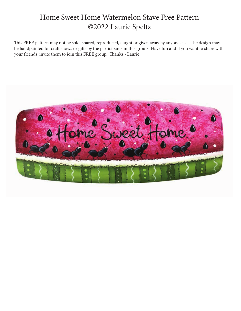## Home Sweet Home Watermelon Stave Free Pattern ©2022 Laurie Speltz

This FREE pattern may not be sold, shared, reproduced, taught or given away by anyone else. The design may be handpainted for craft shows or gifts by the participants in this group. Have fun and if you want to share with your friends, invite them to join this FREE group. Thanks - Laurie

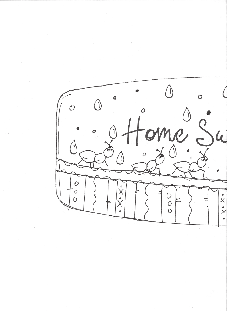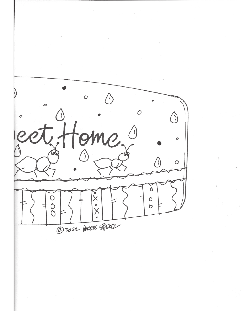